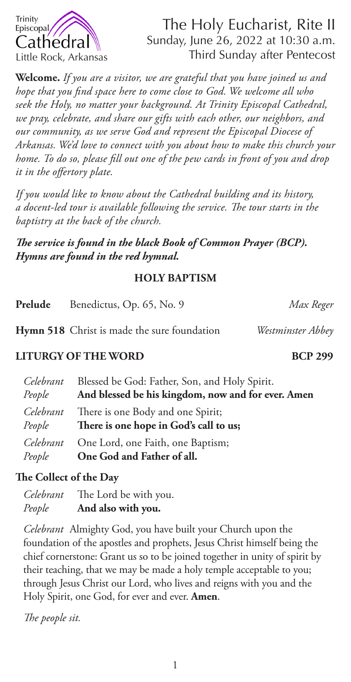The Holy Eucharist, Rite II Sunday, June 26, 2022 at 10:30 a.m. Third Sunday after Pentecost

**Welcome.** *If you are a visitor, we are grateful that you have joined us and hope that you find space here to come close to God. We welcome all who seek the Holy, no matter your background. At Trinity Episcopal Cathedral, we pray, celebrate, and share our gifts with each other, our neighbors, and our community, as we serve God and represent the Episcopal Diocese of Arkansas. We'd love to connect with you about how to make this church your home. To do so, please fill out one of the pew cards in front of you and drop it in the offertory plate.* 

*If you would like to know about the Cathedral building and its history, a docent-led tour is available following the service. The tour starts in the baptistry at the back of the church.*

*The service is found in the black Book of Common Prayer (BCP). Hymns are found in the red hymnal.*

# **HOLY BAPTISM**

| <b>Prelude</b> Benedictus, Op. 65, No. 9 | Max Reger |  |
|------------------------------------------|-----------|--|
|                                          |           |  |

**Hymn 518** Christ is made the sure foundation *Westminster Abbey*

### **LITURGY OF THE WORD BCP 299**

| Celebrant | Blessed be God: Father, Son, and Holy Spirit.                                      |
|-----------|------------------------------------------------------------------------------------|
| People    | And blessed be his kingdom, now and for ever. Amen                                 |
| Celebrant | There is one Body and one Spirit;<br>People There is one hope in God's call to us; |
| Celebrant | One Lord, one Faith, one Baptism;                                                  |
| People    | One God and Father of all.                                                         |

### **The Collect of the Day**

*Celebrant* The Lord be with you. *People* **And also with you.**

*Celebrant* Almighty God, you have built your Church upon the foundation of the apostles and prophets, Jesus Christ himself being the chief cornerstone: Grant us so to be joined together in unity of spirit by their teaching, that we may be made a holy temple acceptable to you; through Jesus Christ our Lord, who lives and reigns with you and the Holy Spirit, one God, for ever and ever. **Amen**.

*The people sit.*

Trinity Episcopal athedra Little Rock, Arkansas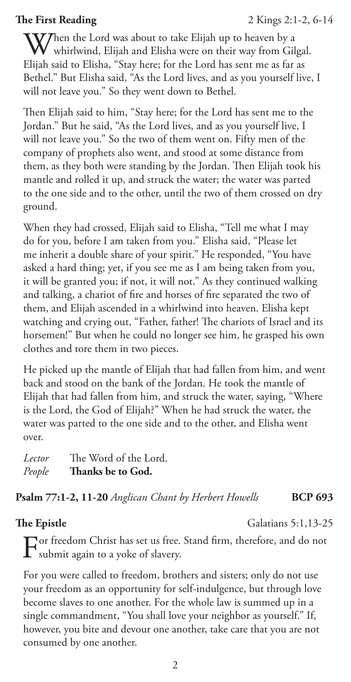#### **The First Reading** 2 Kings 2:1-2, 6-14

 $\bf V$ 7hen the Lord was about to take Elijah up to heaven by a  $\bm{V}$  whirlwind, Elijah and Elisha were on their way from Gilgal. Elijah said to Elisha, "Stay here; for the Lord has sent me as far as Bethel." But Elisha said, "As the Lord lives, and as you yourself live, I will not leave you." So they went down to Bethel.

Then Elijah said to him, "Stay here; for the Lord has sent me to the Jordan." But he said, "As the Lord lives, and as you yourself live, I will not leave you." So the two of them went on. Fifty men of the company of prophets also went, and stood at some distance from them, as they both were standing by the Jordan. Then Elijah took his mantle and rolled it up, and struck the water; the water was parted to the one side and to the other, until the two of them crossed on dry ground.

When they had crossed, Elijah said to Elisha, "Tell me what I may do for you, before I am taken from you." Elisha said, "Please let me inherit a double share of your spirit." He responded, "You have asked a hard thing; yet, if you see me as I am being taken from you, it will be granted you; if not, it will not." As they continued walking and talking, a chariot of fire and horses of fire separated the two of them, and Elijah ascended in a whirlwind into heaven. Elisha kept watching and crying out, "Father, father! The chariots of Israel and its horsemen!" But when he could no longer see him, he grasped his own clothes and tore them in two pieces.

He picked up the mantle of Elijah that had fallen from him, and went back and stood on the bank of the Jordan. He took the mantle of Elijah that had fallen from him, and struck the water, saying, "Where is the Lord, the God of Elijah?" When he had struck the water, the water was parted to the one side and to the other, and Elisha went over.

| Lector | The Word of the Lord. |
|--------|-----------------------|
| People | Thanks be to God.     |

#### **Psalm 77:1-2, 11-20** *Anglican Chant by Herbert Howells* **BCP 693**

**The Epistle** Galatians 5:1,13-25

For freedom Christ has set us free. Stand firm, therefore, and do not submit again to a yoke of slavery.

For you were called to freedom, brothers and sisters; only do not use your freedom as an opportunity for self-indulgence, but through love become slaves to one another. For the whole law is summed up in a single commandment, "You shall love your neighbor as yourself." If, however, you bite and devour one another, take care that you are not consumed by one another.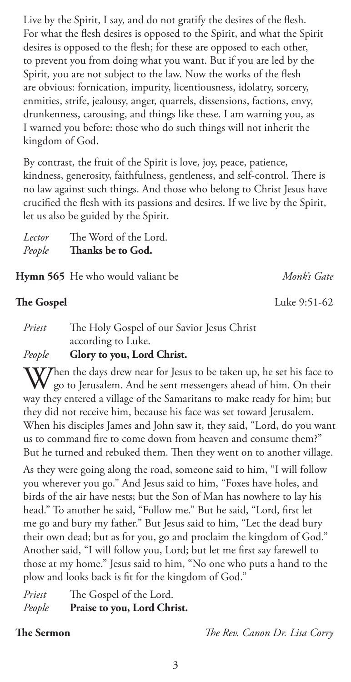Live by the Spirit, I say, and do not gratify the desires of the flesh. For what the flesh desires is opposed to the Spirit, and what the Spirit desires is opposed to the flesh; for these are opposed to each other, to prevent you from doing what you want. But if you are led by the Spirit, you are not subject to the law. Now the works of the flesh are obvious: fornication, impurity, licentiousness, idolatry, sorcery, enmities, strife, jealousy, anger, quarrels, dissensions, factions, envy, drunkenness, carousing, and things like these. I am warning you, as I warned you before: those who do such things will not inherit the kingdom of God.

By contrast, the fruit of the Spirit is love, joy, peace, patience, kindness, generosity, faithfulness, gentleness, and self-control. There is no law against such things. And those who belong to Christ Jesus have crucified the flesh with its passions and desires. If we live by the Spirit, let us also be guided by the Spirit.

| Lector | The Word of the Lord. |
|--------|-----------------------|
| People | Thanks be to God.     |

**Hymn 565** He who would valiant be *Monk's Gate* 

## **The Gospel** Luke 9:51-62

## *Priest* The Holy Gospel of our Savior Jesus Christ according to Luke. *People* **Glory to you, Lord Christ.**

When the days drew near for Jesus to be taken up, he set his face to go to Jerusalem. And he sent messengers ahead of him. On their way they entered a village of the Samaritans to make ready for him; but they did not receive him, because his face was set toward Jerusalem. When his disciples James and John saw it, they said, "Lord, do you want us to command fire to come down from heaven and consume them?" But he turned and rebuked them. Then they went on to another village.

As they were going along the road, someone said to him, "I will follow you wherever you go." And Jesus said to him, "Foxes have holes, and birds of the air have nests; but the Son of Man has nowhere to lay his head." To another he said, "Follow me." But he said, "Lord, first let me go and bury my father." But Jesus said to him, "Let the dead bury their own dead; but as for you, go and proclaim the kingdom of God." Another said, "I will follow you, Lord; but let me first say farewell to those at my home." Jesus said to him, "No one who puts a hand to the plow and looks back is fit for the kingdom of God."

*Priest* The Gospel of the Lord. *People* **Praise to you, Lord Christ.**

**The Sermon** *The Rev. Canon Dr. Lisa Corry*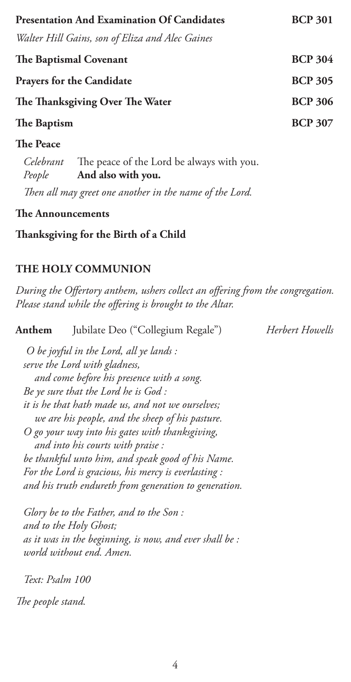| <b>Presentation And Examination Of Candidates</b> | <b>BCP 301</b> |
|---------------------------------------------------|----------------|
| Walter Hill Gains, son of Eliza and Alec Gaines   |                |
| The Baptismal Covenant                            | <b>BCP 304</b> |
| <b>Prayers for the Candidate</b>                  | <b>BCP 305</b> |
| The Thanksgiving Over The Water                   | <b>BCP 306</b> |
| The Baptism                                       | <b>BCP 307</b> |
| <b>The Peace</b>                                  |                |

*Celebrant* The peace of the Lord be always with you. *People* **And also with you.**

*Then all may greet one another in the name of the Lord.*

**The Announcements** 

**Thanksgiving for the Birth of a Child**

### **THE HOLY COMMUNION**

*During the Offertory anthem, ushers collect an offering from the congregation. Please stand while the offering is brought to the Altar.* 

**Anthem** Jubilate Deo ("Collegium Regale") *Herbert Howells O be joyful in the Lord, all ye lands : serve the Lord with gladness, and come before his presence with a song. Be ye sure that the Lord he is God : it is he that hath made us, and not we ourselves; we are his people, and the sheep of his pasture. O go your way into his gates with thanksgiving, and into his courts with praise : be thankful unto him, and speak good of his Name. For the Lord is gracious, his mercy is everlasting : and his truth endureth from generation to generation.*

*Glory be to the Father, and to the Son : and to the Holy Ghost; as it was in the beginning, is now, and ever shall be : world without end. Amen.*

*Text: Psalm 100*

*The people stand.*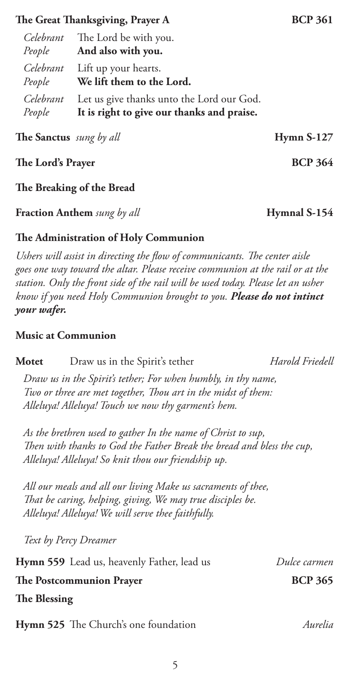# **The Great Thanksgiving, Prayer A BCP 361**

|           | Celebrant The Lord be with you.                                           |
|-----------|---------------------------------------------------------------------------|
|           | People And also with you.                                                 |
|           | <i>Celebrant</i> Lift up your hearts.<br>People We lift them to the Lord. |
| Celebrant | Let us give thanks unto the Lord our God.                                 |
|           | People It is right to give our thanks and praise.                         |

**The Sanctus** *sung by all* **Hymn S-127** 

The Lord's Prayer BCP 364

# **The Breaking of the Bread**

**Fraction Anthem** *sung by all* **Hymnal S-154** 

# **The Administration of Holy Communion**

*Ushers will assist in directing the flow of communicants. The center aisle goes one way toward the altar. Please receive communion at the rail or at the station. Only the front side of the rail will be used today. Please let an usher know if you need Holy Communion brought to you. Please do not intinct your wafer.*

# **Music at Communion**

# **Motet** Draw us in the Spirit's tether *Harold Friedell Draw us in the Spirit's tether; For when humbly, in thy name, Two or three are met together, Thou art in the midst of them: Alleluya! Alleluya! Touch we now thy garment's hem.*

*As the brethren used to gather In the name of Christ to sup, Then with thanks to God the Father Break the bread and bless the cup, Alleluya! Alleluya! So knit thou our friendship up.*

*All our meals and all our living Make us sacraments of thee, That be caring, helping, giving, We may true disciples be. Alleluya! Alleluya! We will serve thee faithfully.*

*Text by Percy Dreamer*

| Hymn 559 Lead us, heavenly Father, lead us | Dulce carmen   |  |
|--------------------------------------------|----------------|--|
| The Postcommunion Prayer                   | <b>BCP 365</b> |  |
| The Blessing                               |                |  |

**Hymn 525** The Church's one foundation *Aurelia*